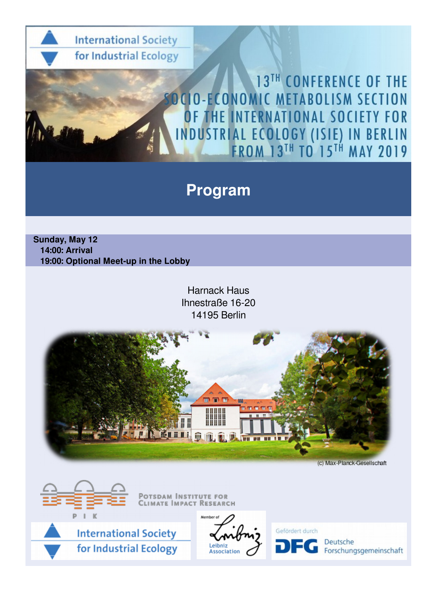

## **Program**

 **Sunday, May 12 14:00: Arrival 19:00: Optional Meet-up in the Lobby**

> Harnack Haus Ihnestraße 16-20 14195 Berlin





**SDAM INSTITUTE FOR** MPACT RESEARCH





Gefördert durch Deutsche Forschungsgemeinschaft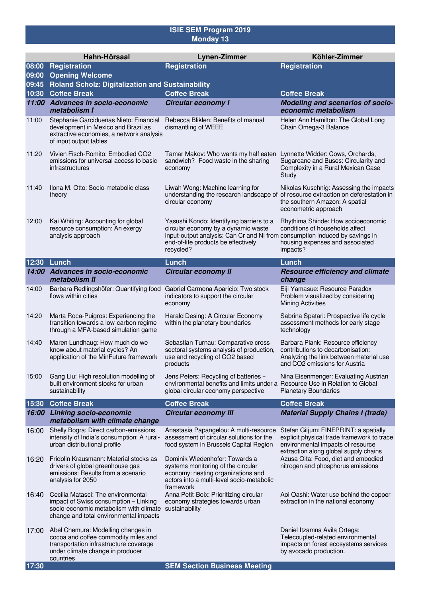## **ISIE SEM Program 2019 Monday 13**

|                | Hahn-Hörsaal                                                                                                                                                                   | <b>Lynen-Zimmer</b>                                                                                                                                                                                                | Köhler-Zimmer                                                                                                                                                                           |  |  |  |
|----------------|--------------------------------------------------------------------------------------------------------------------------------------------------------------------------------|--------------------------------------------------------------------------------------------------------------------------------------------------------------------------------------------------------------------|-----------------------------------------------------------------------------------------------------------------------------------------------------------------------------------------|--|--|--|
| 08:00          | Registration                                                                                                                                                                   | <b>Registration</b>                                                                                                                                                                                                | <b>Registration</b>                                                                                                                                                                     |  |  |  |
| 09:00          | <b>Opening Welcome</b>                                                                                                                                                         |                                                                                                                                                                                                                    |                                                                                                                                                                                         |  |  |  |
| 09:45<br>10:30 | Roland Scholz: Digitalization and Sustainability<br><b>Coffee Break</b><br><b>Coffee Break</b><br><b>Coffee Break</b>                                                          |                                                                                                                                                                                                                    |                                                                                                                                                                                         |  |  |  |
| 11:00          | <b>Advances in socio-economic</b><br>metabolism I                                                                                                                              | <b>Circular economy I</b>                                                                                                                                                                                          | Modeling and scenarios of socio-<br>economic metabolism                                                                                                                                 |  |  |  |
| 11:00          | Stephanie Garcidueñas Nieto: Financial<br>development in Mexico and Brazil as<br>extractive economies, a network analysis<br>of input output tables                            | Rebecca Bliklen: Benefits of manual<br>dismantling of WEEE                                                                                                                                                         | Helen Ann Hamilton: The Global Long<br>Chain Omega-3 Balance                                                                                                                            |  |  |  |
| 11:20          | Vivien Fisch-Romito: Embodied CO2<br>emissions for universal access to basic<br>infrastructures                                                                                | Tamar Makov: Who wants my half eaten<br>sandwich?- Food waste in the sharing<br>economy                                                                                                                            | Lynnette Widder: Cows, Orchards,<br>Sugarcane and Buses: Circularity and<br>Complexity in a Rural Mexican Case<br>Study                                                                 |  |  |  |
| 11:40          | Ilona M. Otto: Socio-metabolic class<br>theory                                                                                                                                 | Liwah Wong: Machine learning for<br>circular economy                                                                                                                                                               | Nikolas Kuschnig: Assessing the impacts<br>understanding the research landscape of of resource extraction on deforestation in<br>the southern Amazon: A spatial<br>econometric approach |  |  |  |
| 12:00          | Kai Whiting: Accounting for global<br>resource consumption: An exergy<br>analysis approach                                                                                     | Yasushi Kondo: Identifying barriers to a<br>circular economy by a dynamic waste<br>input-output analysis: Can Cr and Ni from consumption induced by savings in<br>end-of-life products be effectively<br>recycled? | Rhythima Shinde: How socioeconomic<br>conditions of households affect<br>housing expenses and associated<br>impacts?                                                                    |  |  |  |
| 12:30          | Lunch                                                                                                                                                                          | Lunch                                                                                                                                                                                                              | Lunch                                                                                                                                                                                   |  |  |  |
| 14:00          | <b>Advances in socio-economic</b><br>metabolism II                                                                                                                             | <b>Circular economy II</b>                                                                                                                                                                                         | <b>Resource efficiency and climate</b><br>change                                                                                                                                        |  |  |  |
| 14:00          | Barbara Redlingshöfer: Quantifying food<br>flows within cities                                                                                                                 | Gabriel Carmona Aparicio: Two stock<br>indicators to support the circular<br>economy                                                                                                                               | Eiji Yamasue: Resource Paradox<br>Problem visualized by considering<br><b>Mining Activities</b>                                                                                         |  |  |  |
| 14:20          | Marta Roca-Puigros: Experiencing the<br>transition towards a low-carbon regime<br>through a MFA-based simulation game                                                          | Harald Desing: A Circular Economy<br>within the planetary boundaries                                                                                                                                               | Sabrina Spatari: Prospective life cycle<br>assessment methods for early stage<br>technology                                                                                             |  |  |  |
| 14:40          | Maren Lundhaug: How much do we<br>know about material cycles? An<br>application of the MinFuture framework                                                                     | Sebastian Turnau: Comparative cross-<br>sectoral systems analysis of production,<br>use and recycling of CO2 based<br>products                                                                                     | Barbara Plank: Resource efficiency<br>contributions to decarbonisation:<br>Analyzing the link between material use<br>and CO2 emissions for Austria                                     |  |  |  |
| 15:00          | Gang Liu: High resolution modelling of<br>built environment stocks for urban<br>sustainability                                                                                 | Jens Peters: Recycling of batteries -<br>environmental benefits and limits under a Resource Use in Relation to Global<br>global circular economy perspective                                                       | Nina Eisenmenger: Evaluating Austrian<br><b>Planetary Boundaries</b>                                                                                                                    |  |  |  |
| 15:30          | <b>Coffee Break</b>                                                                                                                                                            | <b>Coffee Break</b>                                                                                                                                                                                                | <b>Coffee Break</b>                                                                                                                                                                     |  |  |  |
|                | 16:00 Linking socio-economic<br>metabolism with climate change                                                                                                                 | <b>Circular economy III</b>                                                                                                                                                                                        | <b>Material Supply Chains I (trade)</b>                                                                                                                                                 |  |  |  |
| 16:00          | Shelly Bogra: Direct carbon-emissions<br>intensity of India's consumption: A rural-<br>urban distributional profile                                                            | Anastasia Papangelou: A multi-resource<br>assessment of circular solutions for the<br>food system in Brussels Capital Region                                                                                       | Stefan Giljum: FINEPRINT: a spatially<br>explicit physical trade framework to trace<br>environmental impacts of resource<br>extraction along global supply chains                       |  |  |  |
| 16:20          | Fridolin Krausmann: Material stocks as<br>drivers of global greenhouse gas<br>emissions: Results from a scenario<br>analysis for 2050                                          | Dominik Wiedenhofer: Towards a<br>systems monitoring of the circular<br>economy: nesting organizations and<br>actors into a multi-level socio-metabolic<br>framework                                               | Azusa Oita: Food, diet and embodied<br>nitrogen and phosphorus emissions                                                                                                                |  |  |  |
| 16:40          | Cecilia Matasci: The environmental<br>impact of Swiss consumption - Linking<br>socio-economic metabolism with climate sustainability<br>change and total environmental impacts | Anna Petit-Boix: Prioritizing circular<br>economy strategies towards urban                                                                                                                                         | Aoi Oashi: Water use behind the copper<br>extraction in the national economy                                                                                                            |  |  |  |
| 17:00          | Abel Chemura: Modelling changes in<br>cocoa and coffee commodity miles and<br>transportation infrastructure coverage<br>under climate change in producer<br>countries          |                                                                                                                                                                                                                    | Daniel Itzamna Avila Ortega:<br>Telecoupled-related environmental<br>impacts on forest ecosystems services<br>by avocado production.                                                    |  |  |  |
| 17:30          |                                                                                                                                                                                | <b>SEM Section Business Meeting</b>                                                                                                                                                                                |                                                                                                                                                                                         |  |  |  |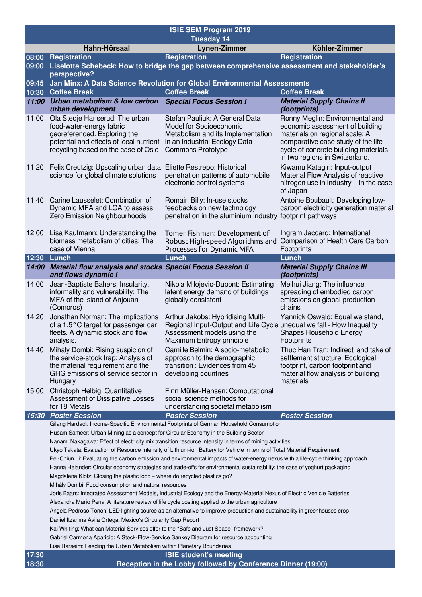| <b>ISIE SEM Program 2019</b> |                                                                                                                                                                                                                                                                                                                                                                                                                                                                                                                                                                                                                                                                                                                                                                                                                                                                                                                                                                                                                                                                                                                                                                                                                                                                                                                                                    |                                                                                                                                                                        |                                                                                                                                                                                                                      |  |  |  |
|------------------------------|----------------------------------------------------------------------------------------------------------------------------------------------------------------------------------------------------------------------------------------------------------------------------------------------------------------------------------------------------------------------------------------------------------------------------------------------------------------------------------------------------------------------------------------------------------------------------------------------------------------------------------------------------------------------------------------------------------------------------------------------------------------------------------------------------------------------------------------------------------------------------------------------------------------------------------------------------------------------------------------------------------------------------------------------------------------------------------------------------------------------------------------------------------------------------------------------------------------------------------------------------------------------------------------------------------------------------------------------------|------------------------------------------------------------------------------------------------------------------------------------------------------------------------|----------------------------------------------------------------------------------------------------------------------------------------------------------------------------------------------------------------------|--|--|--|
|                              | Hahn-Hörsaal                                                                                                                                                                                                                                                                                                                                                                                                                                                                                                                                                                                                                                                                                                                                                                                                                                                                                                                                                                                                                                                                                                                                                                                                                                                                                                                                       | <b>Tuesday 14</b><br>Lynen-Zimmer                                                                                                                                      | Köhler-Zimmer                                                                                                                                                                                                        |  |  |  |
| 08:00                        | Registration                                                                                                                                                                                                                                                                                                                                                                                                                                                                                                                                                                                                                                                                                                                                                                                                                                                                                                                                                                                                                                                                                                                                                                                                                                                                                                                                       | <b>Registration</b>                                                                                                                                                    | <b>Registration</b>                                                                                                                                                                                                  |  |  |  |
| 09:00                        | perspective?                                                                                                                                                                                                                                                                                                                                                                                                                                                                                                                                                                                                                                                                                                                                                                                                                                                                                                                                                                                                                                                                                                                                                                                                                                                                                                                                       | Liselotte Schebeck: How to bridge the gap between comprehensive assessment and stakeholder's                                                                           |                                                                                                                                                                                                                      |  |  |  |
| 09:45                        | Jan Minx: A Data Science Revolution for Global Environmental Assessments                                                                                                                                                                                                                                                                                                                                                                                                                                                                                                                                                                                                                                                                                                                                                                                                                                                                                                                                                                                                                                                                                                                                                                                                                                                                           |                                                                                                                                                                        |                                                                                                                                                                                                                      |  |  |  |
| 10:30                        | <b>Coffee Break</b>                                                                                                                                                                                                                                                                                                                                                                                                                                                                                                                                                                                                                                                                                                                                                                                                                                                                                                                                                                                                                                                                                                                                                                                                                                                                                                                                | <b>Coffee Break</b>                                                                                                                                                    | <b>Coffee Break</b>                                                                                                                                                                                                  |  |  |  |
| 11:00                        | Urban metabolism & low carbon<br>urban development                                                                                                                                                                                                                                                                                                                                                                                                                                                                                                                                                                                                                                                                                                                                                                                                                                                                                                                                                                                                                                                                                                                                                                                                                                                                                                 | <b>Special Focus Session I</b>                                                                                                                                         | <b>Material Supply Chains II</b><br>(footprints)                                                                                                                                                                     |  |  |  |
| 11:00                        | Ola Stedje Hanserud: The urban<br>food-water-energy fabric<br>georeferenced. Exploring the<br>potential and effects of local nutrient<br>recycling based on the case of Oslo                                                                                                                                                                                                                                                                                                                                                                                                                                                                                                                                                                                                                                                                                                                                                                                                                                                                                                                                                                                                                                                                                                                                                                       | Stefan Pauliuk: A General Data<br>Model for Socioeconomic<br>Metabolism and its Implementation<br>in an Industrial Ecology Data<br><b>Commons Prototype</b>            | Ronny Meglin: Environmental and<br>economic assessment of building<br>materials on regional scale: A<br>comparative case study of the life<br>cycle of concrete building materials<br>in two regions in Switzerland. |  |  |  |
| 11:20                        | Felix Creutzig: Upscaling urban data Eliette Restrepo: Historical<br>science for global climate solutions                                                                                                                                                                                                                                                                                                                                                                                                                                                                                                                                                                                                                                                                                                                                                                                                                                                                                                                                                                                                                                                                                                                                                                                                                                          | penetration patterns of automobile<br>electronic control systems                                                                                                       | Kiwamu Katagiri: Input-output<br>Material Flow Analysis of reactive<br>nitrogen use in industry - In the case<br>of Japan                                                                                            |  |  |  |
| 11:40                        | Carine Lausselet: Combination of<br>Dynamic MFA and LCA to assess<br>Zero Emission Neighbourhoods                                                                                                                                                                                                                                                                                                                                                                                                                                                                                                                                                                                                                                                                                                                                                                                                                                                                                                                                                                                                                                                                                                                                                                                                                                                  | Romain Billy: In-use stocks<br>feedbacks on new technology<br>penetration in the aluminium industry footprint pathways                                                 | Antoine Boubault: Developing low-<br>carbon electricity generation material                                                                                                                                          |  |  |  |
| 12:00                        | Lisa Kaufmann: Understanding the<br>biomass metabolism of cities: The<br>case of Vienna                                                                                                                                                                                                                                                                                                                                                                                                                                                                                                                                                                                                                                                                                                                                                                                                                                                                                                                                                                                                                                                                                                                                                                                                                                                            | Tomer Fishman: Development of<br>Robust High-speed Algorithms and<br>Processes for Dynamic MFA                                                                         | Ingram Jaccard: International<br>Comparison of Health Care Carbon<br>Footprints                                                                                                                                      |  |  |  |
| 12:30                        | Lunch                                                                                                                                                                                                                                                                                                                                                                                                                                                                                                                                                                                                                                                                                                                                                                                                                                                                                                                                                                                                                                                                                                                                                                                                                                                                                                                                              | Lunch                                                                                                                                                                  | <b>Lunch</b>                                                                                                                                                                                                         |  |  |  |
|                              | 14:00 Material flow analysis and stocks Special Focus Session II<br>and flows dynamic I                                                                                                                                                                                                                                                                                                                                                                                                                                                                                                                                                                                                                                                                                                                                                                                                                                                                                                                                                                                                                                                                                                                                                                                                                                                            |                                                                                                                                                                        | <b>Material Supply Chains III</b><br>(footprints)                                                                                                                                                                    |  |  |  |
| 14:00                        | Jean-Baptiste Bahers: Insularity,<br>informality and vulnerability: The<br>MFA of the island of Anjouan<br>(Comoros)                                                                                                                                                                                                                                                                                                                                                                                                                                                                                                                                                                                                                                                                                                                                                                                                                                                                                                                                                                                                                                                                                                                                                                                                                               | Nikola Milojevic-Dupont: Estimating<br>latent energy demand of buildings<br>globally consistent                                                                        | Meihui Jiang: The influence<br>spreading of embodied carbon<br>emissions on global production<br>chains                                                                                                              |  |  |  |
| 14:20                        | Jonathan Norman: The implications<br>of a 1.5°C target for passenger car<br>fleets. A dynamic stock and flow<br>analysis.                                                                                                                                                                                                                                                                                                                                                                                                                                                                                                                                                                                                                                                                                                                                                                                                                                                                                                                                                                                                                                                                                                                                                                                                                          | Arthur Jakobs: Hybridising Multi-<br>Regional Input-Output and Life Cycle unequal we fall - How Inequality<br>Assessment models using the<br>Maximum Entropy principle | Yannick Oswald: Equal we stand,<br>Shapes Household Energy<br>Footprints                                                                                                                                             |  |  |  |
| 14:40                        | Mihály Dombi: Rising suspicion of<br>the service-stock trap: Analysis of<br>the material requirement and the<br>GHG emissions of service sector in<br>Hungary                                                                                                                                                                                                                                                                                                                                                                                                                                                                                                                                                                                                                                                                                                                                                                                                                                                                                                                                                                                                                                                                                                                                                                                      | Camille Belmin: A socio-metabolic<br>approach to the demographic<br>transition: Evidences from 45<br>developing countries                                              | Thuc Han Tran: Indirect land take of<br>settlement structure: Ecological<br>footprint, carbon footprint and<br>material flow analysis of building<br>materials                                                       |  |  |  |
| 15:00                        | Christoph Helbig: Quantitative<br>Assessment of Dissipative Losses<br>for 18 Metals                                                                                                                                                                                                                                                                                                                                                                                                                                                                                                                                                                                                                                                                                                                                                                                                                                                                                                                                                                                                                                                                                                                                                                                                                                                                | Finn Müller-Hansen: Computational<br>social science methods for<br>understanding societal metabolism                                                                   |                                                                                                                                                                                                                      |  |  |  |
| 15:30                        | <b>Poster Session</b>                                                                                                                                                                                                                                                                                                                                                                                                                                                                                                                                                                                                                                                                                                                                                                                                                                                                                                                                                                                                                                                                                                                                                                                                                                                                                                                              | <b>Poster Session</b>                                                                                                                                                  | <b>Poster Session</b>                                                                                                                                                                                                |  |  |  |
|                              | Gilang Hardadi: Income-Specific Environmental Footprints of German Household Consumption<br>Husam Sameer: Urban Mining as a concept for Circular Economy in the Building Sector<br>Nanami Nakagawa: Effect of electricity mix transition resource intensity in terms of mining activities<br>Ukyo Takata: Evaluation of Resource Intensity of Lithium-ion Battery for Vehicle in terms of Total Material Requirement<br>Pei-Chiun Li: Evaluating the carbon emission and environmental impacts of water-energy nexus with a life-cycle thinking approach<br>Hanna Helander: Circular economy strategies and trade-offs for environmental sustainability: the case of yoghurt packaging<br>Magdalena Klotz: Closing the plastic loop - where do recycled plastics go?<br>Mihály Dombi: Food consumption and natural resources<br>Joris Baars: Integrated Assessment Models, Industrial Ecology and the Energy-Material Nexus of Electric Vehicle Batteries<br>Alexandra Mario Pena: A literature review of life cycle costing applied to the urban agriculture<br>Angela Pedroso Tonon: LED lighting source as an alternative to improve production and sustainability in greenhouses crop<br>Daniel Itzamna Avila Ortega: Mexico's Circularity Gap Report<br>Kai Whiting: What can Material Services offer to the "Safe and Just Space" framework? |                                                                                                                                                                        |                                                                                                                                                                                                                      |  |  |  |
|                              | Gabriel Carmona Aparicio: A Stock-Flow-Service Sankey Diagram for resource accounting                                                                                                                                                                                                                                                                                                                                                                                                                                                                                                                                                                                                                                                                                                                                                                                                                                                                                                                                                                                                                                                                                                                                                                                                                                                              |                                                                                                                                                                        |                                                                                                                                                                                                                      |  |  |  |
|                              | Lisa Harseim: Feeding the Urban Metabolism within Planetary Boundaries                                                                                                                                                                                                                                                                                                                                                                                                                                                                                                                                                                                                                                                                                                                                                                                                                                                                                                                                                                                                                                                                                                                                                                                                                                                                             |                                                                                                                                                                        |                                                                                                                                                                                                                      |  |  |  |
| 17:30                        | <b>ISIE student's meeting</b>                                                                                                                                                                                                                                                                                                                                                                                                                                                                                                                                                                                                                                                                                                                                                                                                                                                                                                                                                                                                                                                                                                                                                                                                                                                                                                                      |                                                                                                                                                                        |                                                                                                                                                                                                                      |  |  |  |
| 18:30                        |                                                                                                                                                                                                                                                                                                                                                                                                                                                                                                                                                                                                                                                                                                                                                                                                                                                                                                                                                                                                                                                                                                                                                                                                                                                                                                                                                    | Reception in the Lobby followed by Conference Dinner (19:00)                                                                                                           |                                                                                                                                                                                                                      |  |  |  |